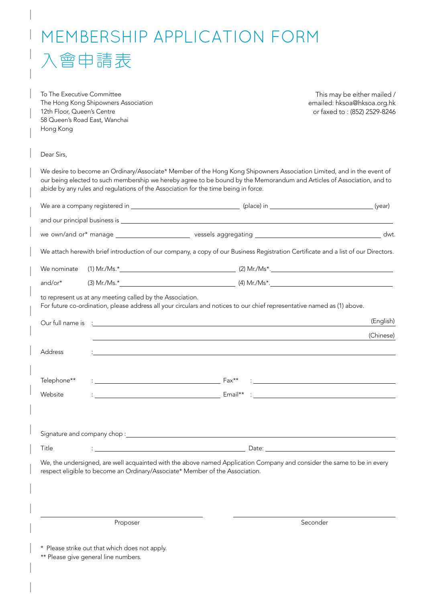## memberShIP APPLIcAtIon form 入會申請表

To The Executive Committee The Hong Kong Shipowners Association 12th Floor, Queen's Centre 58 Queen's Road East, Wanchai Hong Kong

This may be either mailed / emailed: hksoa@hksoa.org.hk or faxed to : (852) 2529-8246

Dear Sirs,

We desire to become an Ordinary/Associate\* Member of the Hong Kong Shipowners Association Limited, and in the event of our being elected to such membership we hereby agree to be bound by the Memorandum and Articles of Association, and to abide by any rules and regulations of the Association for the time being in force.

|             |                                                                              |                                                                                                                                                                                                                                            | (year)    |
|-------------|------------------------------------------------------------------------------|--------------------------------------------------------------------------------------------------------------------------------------------------------------------------------------------------------------------------------------------|-----------|
|             |                                                                              |                                                                                                                                                                                                                                            |           |
|             |                                                                              |                                                                                                                                                                                                                                            |           |
|             |                                                                              | We attach herewith brief introduction of our company, a copy of our Business Registration Certificate and a list of our Directors.                                                                                                         |           |
|             |                                                                              |                                                                                                                                                                                                                                            |           |
| and/or $*$  |                                                                              |                                                                                                                                                                                                                                            |           |
|             | to represent us at any meeting called by the Association.                    | For future co-ordination, please address all your circulars and notices to our chief representative named as (1) above.                                                                                                                    |           |
|             |                                                                              | Our full name is : <u>[</u> <i>Content of the set of the set of the set of the set of the set of the set of the set of the set of the set of the set of the set of the set of the set of the set of the set of the set of the set of t</i> | (English) |
|             |                                                                              | ,我们也不能在这里的时候,我们也不能在这里的时候,我们也不能会在这里的时候,我们也不能会在这里的时候,我们也不能会在这里的时候,我们也不能会在这里的时候,我们也不                                                                                                                                                          | (Chinese) |
| Address     |                                                                              | ,我们也不会有什么。""我们的人,我们也不会有什么?""我们的人,我们也不会有什么?""我们的人,我们也不会有什么?""我们的人,我们也不会有什么?""我们的人                                                                                                                                                           |           |
|             |                                                                              |                                                                                                                                                                                                                                            |           |
| Telephone** |                                                                              |                                                                                                                                                                                                                                            |           |
| Website     |                                                                              |                                                                                                                                                                                                                                            |           |
|             |                                                                              |                                                                                                                                                                                                                                            |           |
|             |                                                                              |                                                                                                                                                                                                                                            |           |
| Title       |                                                                              |                                                                                                                                                                                                                                            |           |
|             | respect eligible to become an Ordinary/Associate* Member of the Association. | We, the undersigned, are well acquainted with the above named Application Company and consider the same to be in every                                                                                                                     |           |
|             |                                                                              |                                                                                                                                                                                                                                            |           |

Proposer Seconder Seconder Seconder Seconder Seconder Seconder Seconder Seconder

\* Please strike out that which does not apply.

\*\* Please give general line numbers.